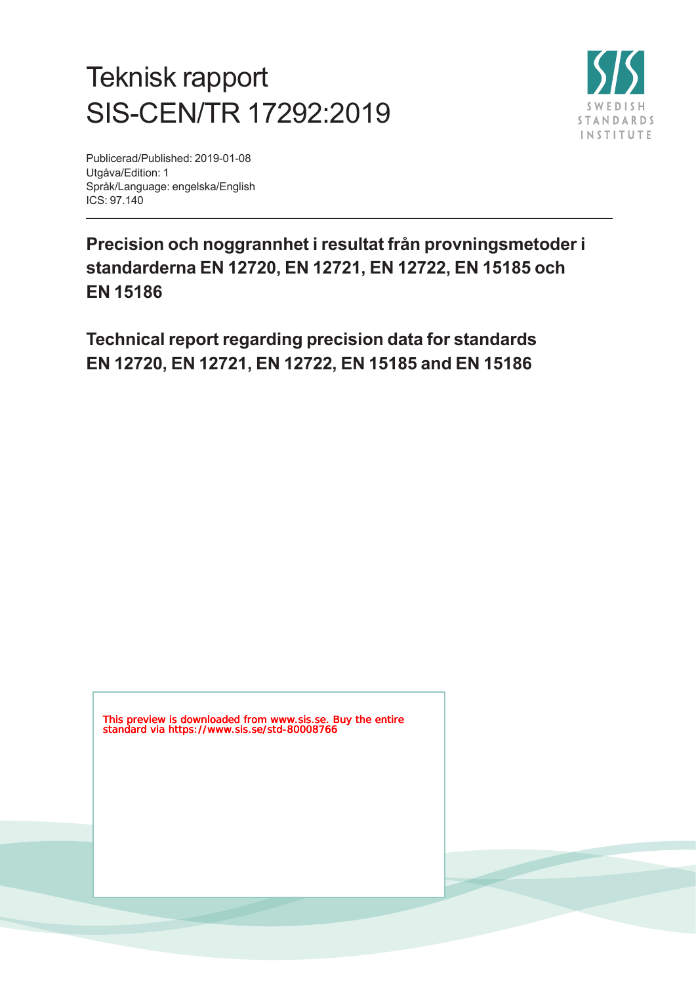# Teknisk rapport SIS-CEN/TR 17292:2019



Publicerad/Published: 2019-01-08 Utgåva/Edition: 1 Språk/Language: engelska/English ICS: 97.140

**Precision och noggrannhet i resultat från provningsmetoder i standarderna EN 12720, EN 12721, EN 12722, EN 15185 och EN 15186**

**Technical report regarding precision data for standards EN 12720, EN 12721, EN 12722, EN 15185 and EN 15186**

This preview is downloaded from www.sis.se. Buy the entire standard via https://www.sis.se/std-80008766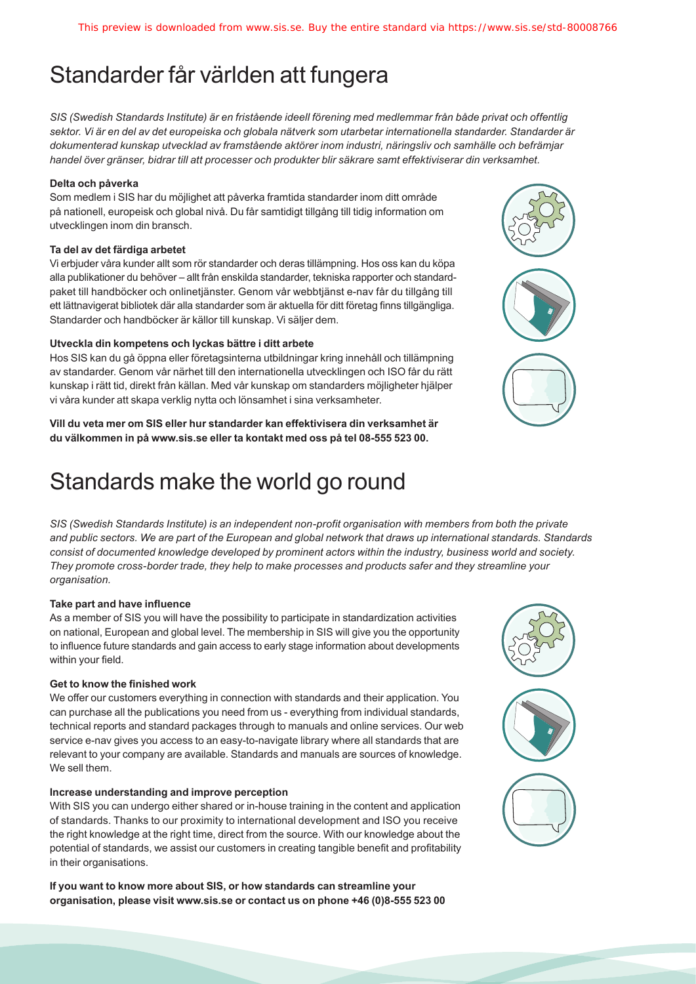## Standarder får världen att fungera

*SIS (Swedish Standards Institute) är en fristående ideell förening med medlemmar från både privat och offentlig sektor. Vi är en del av det europeiska och globala nätverk som utarbetar internationella standarder. Standarder är dokumenterad kunskap utvecklad av framstående aktörer inom industri, näringsliv och samhälle och befrämjar handel över gränser, bidrar till att processer och produkter blir säkrare samt effektiviserar din verksamhet.* 

#### **Delta och påverka**

Som medlem i SIS har du möjlighet att påverka framtida standarder inom ditt område på nationell, europeisk och global nivå. Du får samtidigt tillgång till tidig information om utvecklingen inom din bransch.

#### **Ta del av det färdiga arbetet**

Vi erbjuder våra kunder allt som rör standarder och deras tillämpning. Hos oss kan du köpa alla publikationer du behöver – allt från enskilda standarder, tekniska rapporter och standardpaket till handböcker och onlinetjänster. Genom vår webbtjänst e-nav får du tillgång till ett lättnavigerat bibliotek där alla standarder som är aktuella för ditt företag finns tillgängliga. Standarder och handböcker är källor till kunskap. Vi säljer dem.

#### **Utveckla din kompetens och lyckas bättre i ditt arbete**

Hos SIS kan du gå öppna eller företagsinterna utbildningar kring innehåll och tillämpning av standarder. Genom vår närhet till den internationella utvecklingen och ISO får du rätt kunskap i rätt tid, direkt från källan. Med vår kunskap om standarders möjligheter hjälper vi våra kunder att skapa verklig nytta och lönsamhet i sina verksamheter.

**Vill du veta mer om SIS eller hur standarder kan effektivisera din verksamhet är du välkommen in på www.sis.se eller ta kontakt med oss på tel 08-555 523 00.**

## Standards make the world go round

*SIS (Swedish Standards Institute) is an independent non-profit organisation with members from both the private and public sectors. We are part of the European and global network that draws up international standards. Standards consist of documented knowledge developed by prominent actors within the industry, business world and society. They promote cross-border trade, they help to make processes and products safer and they streamline your organisation.*

#### **Take part and have influence**

As a member of SIS you will have the possibility to participate in standardization activities on national, European and global level. The membership in SIS will give you the opportunity to influence future standards and gain access to early stage information about developments within your field.

#### **Get to know the finished work**

We offer our customers everything in connection with standards and their application. You can purchase all the publications you need from us - everything from individual standards, technical reports and standard packages through to manuals and online services. Our web service e-nav gives you access to an easy-to-navigate library where all standards that are relevant to your company are available. Standards and manuals are sources of knowledge. We sell them.

#### **Increase understanding and improve perception**

With SIS you can undergo either shared or in-house training in the content and application of standards. Thanks to our proximity to international development and ISO you receive the right knowledge at the right time, direct from the source. With our knowledge about the potential of standards, we assist our customers in creating tangible benefit and profitability in their organisations.

**If you want to know more about SIS, or how standards can streamline your organisation, please visit www.sis.se or contact us on phone +46 (0)8-555 523 00**



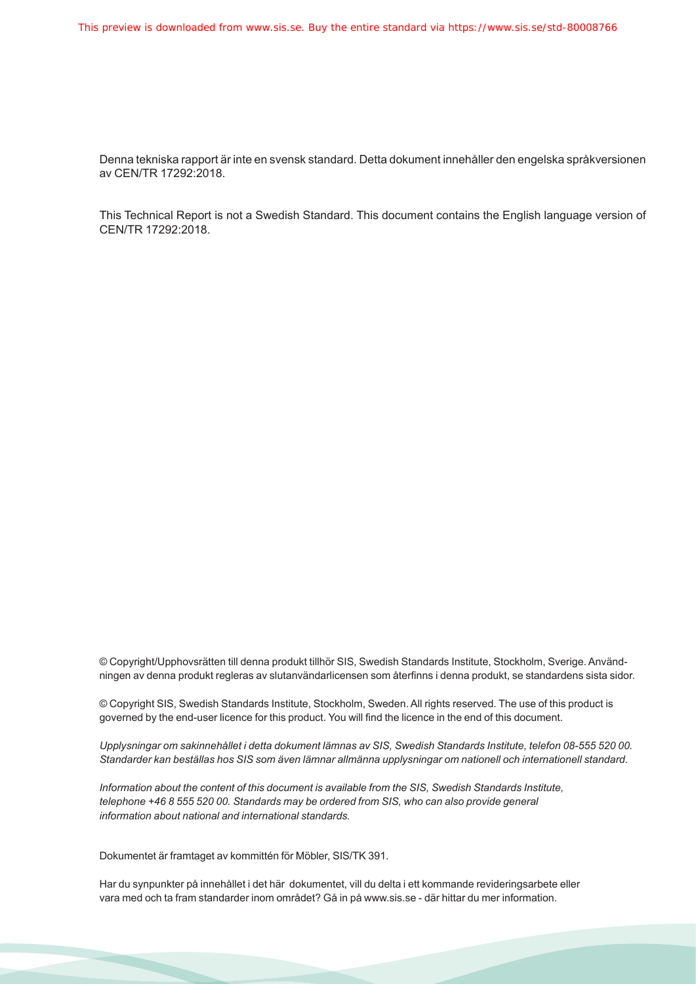Denna tekniska rapport är inte en svensk standard. Detta dokument innehåller den engelska språkversionen av CEN/TR 17292:2018.

This Technical Report is not a Swedish Standard. This document contains the English language version of CEN/TR 17292:2018.

© Copyright/Upphovsrätten till denna produkt tillhör SIS, Swedish Standards Institute, Stockholm, Sverige. Användningen av denna produkt regleras av slutanvändarlicensen som återfinns i denna produkt, se standardens sista sidor.

© Copyright SIS, Swedish Standards Institute, Stockholm, Sweden. All rights reserved. The use of this product is governed by the end-user licence for this product. You will find the licence in the end of this document.

*Upplysningar om sakinnehållet i detta dokument lämnas av SIS, Swedish Standards Institute, telefon 08-555 520 00. Standarder kan beställas hos SIS som även lämnar allmänna upplysningar om nationell och internationell standard.*

*Information about the content of this document is available from the SIS, Swedish Standards Institute, telephone +46 8 555 520 00. Standards may be ordered from SIS, who can also provide general information about national and international standards.*

Dokumentet är framtaget av kommittén för Möbler, SIS/TK 391.

Har du synpunkter på innehållet i det här dokumentet, vill du delta i ett kommande revideringsarbete eller vara med och ta fram standarder inom området? Gå in på www.sis.se - där hittar du mer information.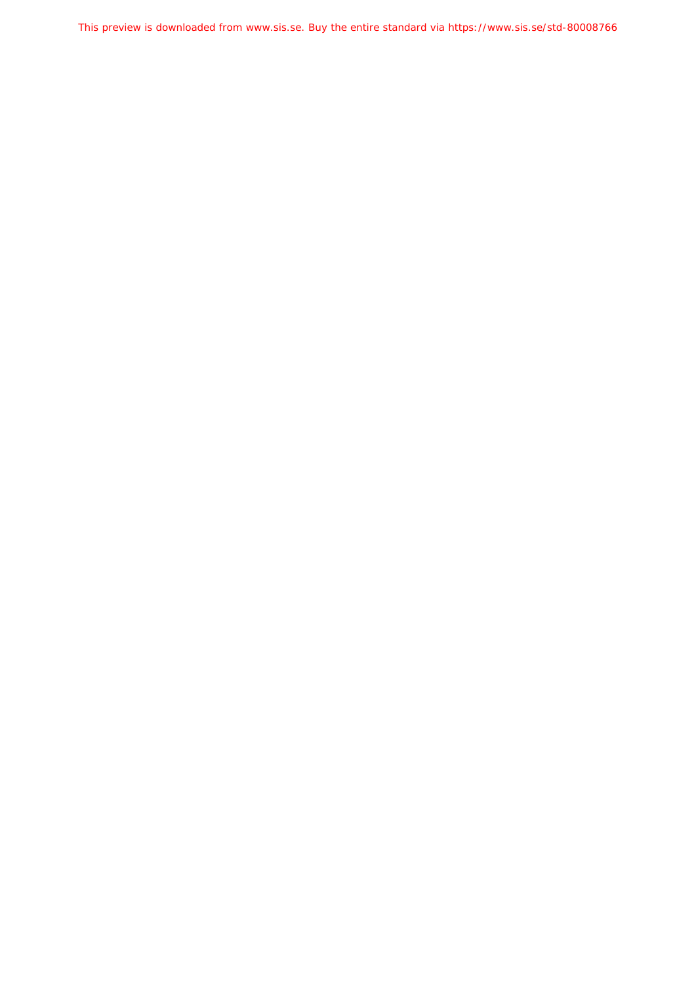This preview is downloaded from www.sis.se. Buy the entire standard via https://www.sis.se/std-80008766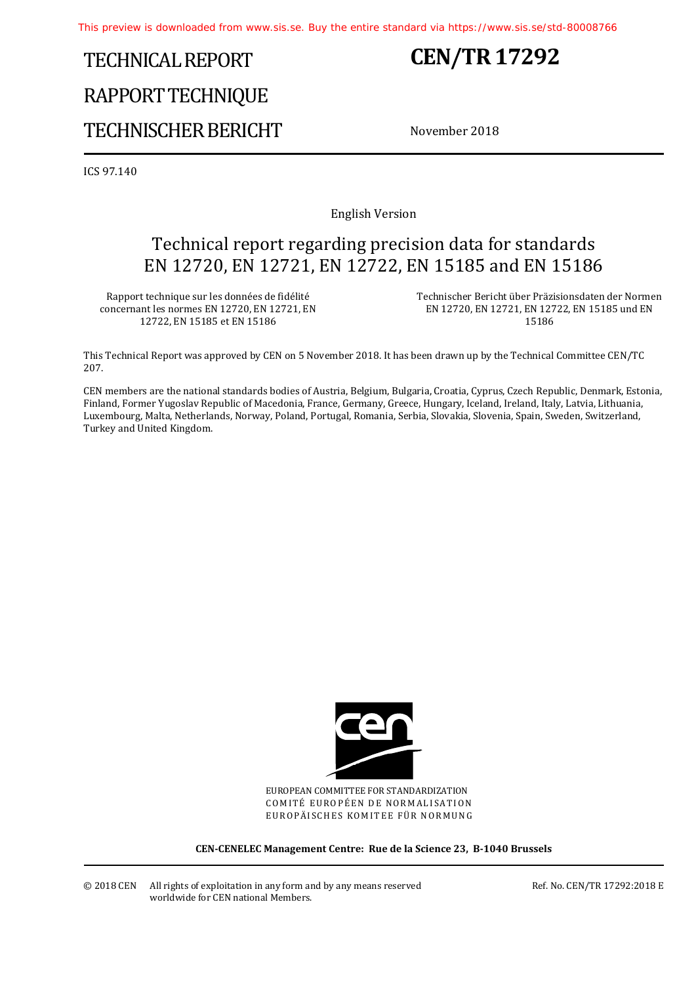# TECHNICAL REPORT RAPPORT TECHNIQUE TECHNISCHER BERICHT

# **CEN/TR 17292**

November 2018

ICS 97.140

English Version

## Technical report regarding precision data for standards EN 12720, EN 12721, EN 12722, EN 15185 and EN 15186

Rapport technique sur les données de fidélité concernant les normes EN 12720, EN 12721, EN 12722, EN 15185 et EN 15186

 Technischer Bericht über Präzisionsdaten der Normen EN 12720, EN 12721, EN 12722, EN 15185 und EN 15186

This Technical Report was approved by CEN on 5 November 2018. It has been drawn up by the Technical Committee CEN/TC 207.

CEN members are the national standards bodies of Austria, Belgium, Bulgaria, Croatia, Cyprus, Czech Republic, Denmark, Estonia, Finland, Former Yugoslav Republic of Macedonia, France, Germany, Greece, Hungary, Iceland, Ireland, Italy, Latvia, Lithuania, Luxembourg, Malta, Netherlands, Norway, Poland, Portugal, Romania, Serbia, Slovakia, Slovenia, Spain, Sweden, Switzerland, Turkey and United Kingdom.



EUROPEAN COMMITTEE FOR STANDARDIZATION COMITÉ EUROPÉEN DE NORMALISATION EUROPÄISCHES KOMITEE FÜR NORMUNG

**CEN-CENELEC Management Centre: Rue de la Science 23, B-1040 Brussels** 

© 2018 CEN All rights of exploitation in any form and by any means reserved worldwide for CEN national Members.

Ref. No. CEN/TR 17292:2018 E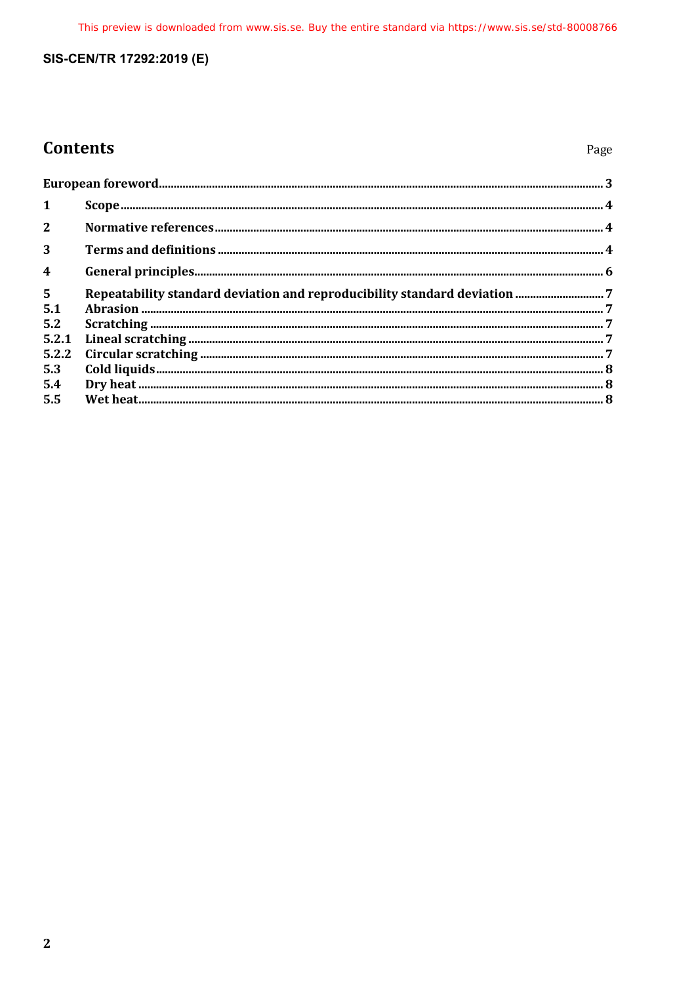This preview is downloaded from www.sis.se. Buy the entire standard via https://www.sis.se/std-80008766

## SIS-CEN/TR 17292:2019 (E)

## **Contents**

| $\mathbf{1}$            |  |  |
|-------------------------|--|--|
| $\overline{2}$          |  |  |
| 3                       |  |  |
| $\overline{\mathbf{4}}$ |  |  |
| $5\overline{)}$         |  |  |
| 5.1                     |  |  |
|                         |  |  |
|                         |  |  |
|                         |  |  |
| 5.3                     |  |  |
| 5.4                     |  |  |
| 5.5                     |  |  |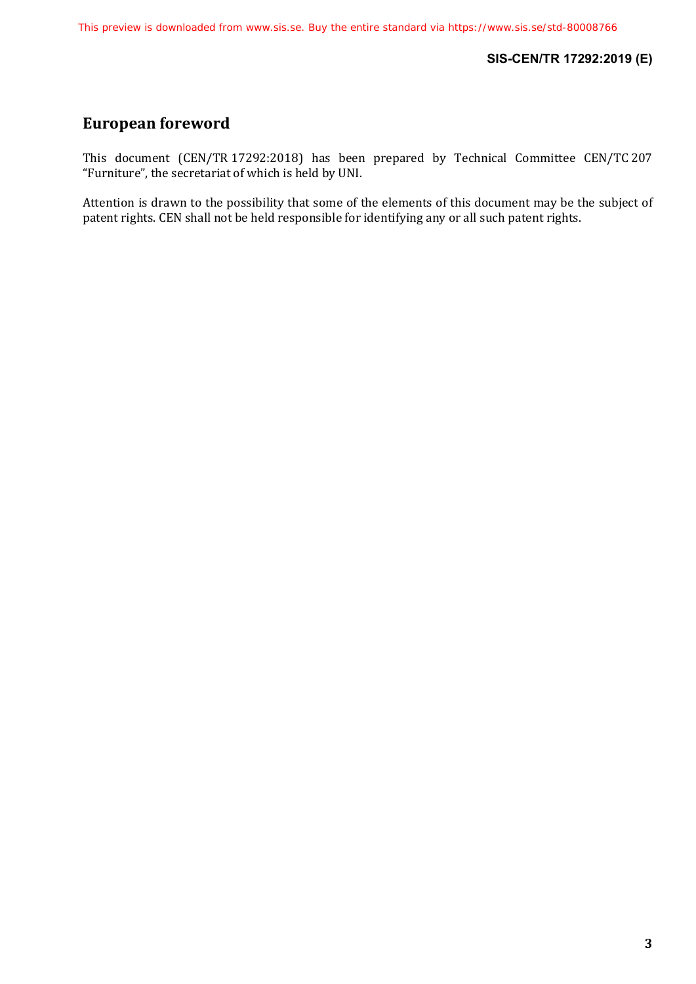### **SIS-CEN/TR 17292:2019 (E)**

## <span id="page-6-0"></span>**European foreword**

This document (CEN/TR 17292:2018) has been prepared by Technical Committee CEN/TC 207 "Furniture", the secretariat of which is held by UNI.

Attention is drawn to the possibility that some of the elements of this document may be the subject of patent rights. CEN shall not be held responsible for identifying any or all such patent rights.